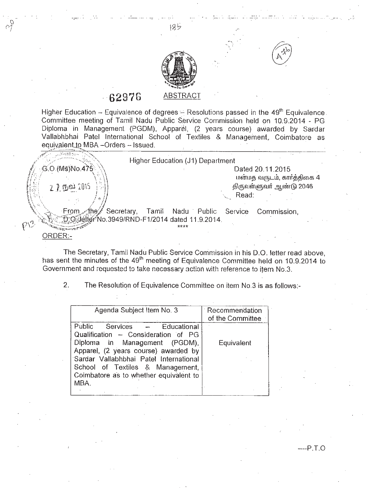

185

-', .'

## **6297G** ABSTRACT

Cl "1

Higher Education - Equivalence of degrees  $\div$  Resolutions passed in the 49<sup>th</sup> Equivalence. Committee meeting of Tamil Nadu Public Service Commission held on 10.9.2014 - PG Diploma in Management (PGDM), Apparel, (2 years course) awarded by Sardar Vallabhbhai Patel International School of Textiles & Management, Coimbatore as equivalent to MBA -Orders - Issued.

|                                                | Higher Education (J1) Department |         |                            |
|------------------------------------------------|----------------------------------|---------|----------------------------|
| G.O. (MS) No.475                               |                                  |         | Dated 20.11.2015           |
|                                                |                                  |         | மன்மத வருடம், கார்த்திகை 4 |
| 2 2 நவ் 2015                                   |                                  |         | திருவள்ளுவர் ஆண்டு 2046    |
|                                                |                                  | Read:   |                            |
|                                                |                                  |         |                            |
| Secretary,<br>From Athey                       | Tamil<br>Nadu Public             | Service | Commission,                |
| :O lefter No.3949/RND-F1/2014 dated 11.9.2014. |                                  |         |                            |
|                                                | ****                             |         |                            |
|                                                |                                  |         |                            |

The Secretary, Tamil Nadu Public Service Commission in his D.O. letter read above, has sent the minutes of the 49<sup>th</sup> meeting of Equivalence Committee held on 10.9.2014 to Government and requested to take necessary action with reference to item No.3.

2. The Resolution of Equivalence Committee on item NO.3is as follows:-

| Agenda Subject Item No. 3                                                                                                                                                                                                                                                           | Recommendation<br>of the Committee |
|-------------------------------------------------------------------------------------------------------------------------------------------------------------------------------------------------------------------------------------------------------------------------------------|------------------------------------|
| Public<br>Educational<br>Services —<br>Qualification - Consideration of PG<br>Diploma in Management (PGDM),<br>Apparel, (2 years course) awarded by<br>Sardar Vallabhbhai Patel International<br>School of Textiles & Management,<br>Coimbatore as to whether equivalent to<br>MBA. | Equivalent                         |

 $-P.T.O$